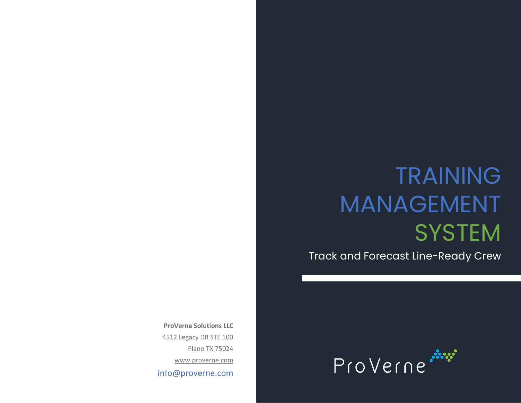# TRAINING MANAGEMENT **SYSTEM**

Track and Forecast Line-Ready Crew

**ProVerne Solutions LLC** 4512 Legacy DR STE 100 Plano TX 75024 [www.proverne.com](http://www.proverne.com/) info@proverne.com